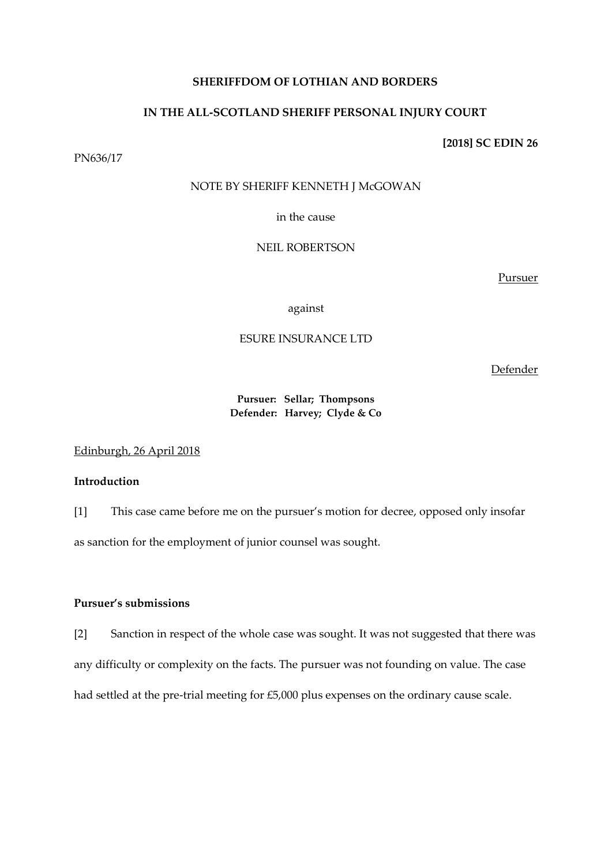## **SHERIFFDOM OF LOTHIAN AND BORDERS**

# **IN THE ALL-SCOTLAND SHERIFF PERSONAL INJURY COURT**

## **[2018] SC EDIN 26**

PN636/17

# NOTE BY SHERIFF KENNETH J McGOWAN

in the cause

# NEIL ROBERTSON

Pursuer

against

# ESURE INSURANCE LTD

Defender

# **Pursuer: Sellar; Thompsons Defender: Harvey; Clyde & Co**

Edinburgh, 26 April 2018

# **Introduction**

[1] This case came before me on the pursuer's motion for decree, opposed only insofar as sanction for the employment of junior counsel was sought.

# **Pursuer's submissions**

[2] Sanction in respect of the whole case was sought. It was not suggested that there was any difficulty or complexity on the facts. The pursuer was not founding on value. The case had settled at the pre-trial meeting for £5,000 plus expenses on the ordinary cause scale.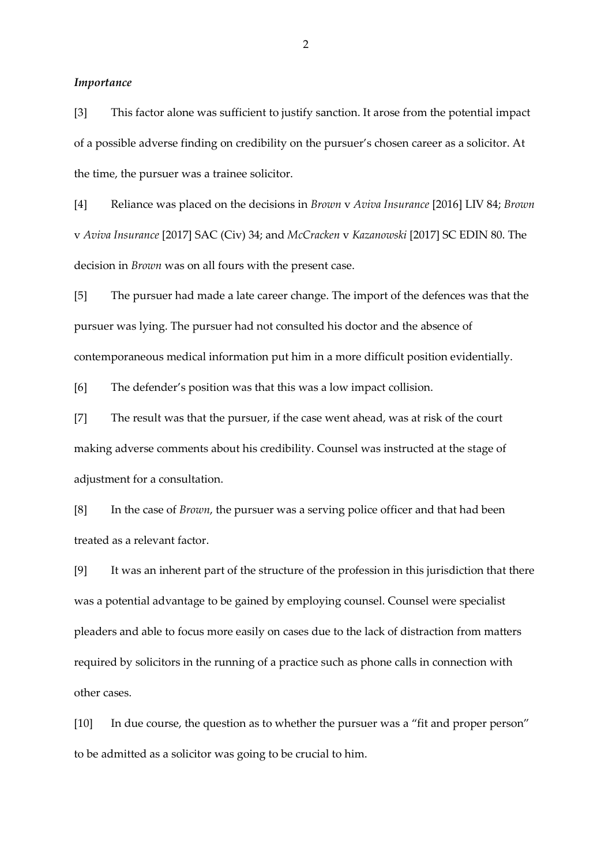#### *Importance*

[3] This factor alone was sufficient to justify sanction. It arose from the potential impact of a possible adverse finding on credibility on the pursuer's chosen career as a solicitor. At the time, the pursuer was a trainee solicitor.

[4] Reliance was placed on the decisions in *Brown* v *Aviva Insurance* [2016] LIV 84; *Brown*  v *Aviva Insurance* [2017] SAC (Civ) 34; and *McCracken* v *Kazanowski* [2017] SC EDIN 80. The decision in *Brown* was on all fours with the present case.

[5] The pursuer had made a late career change. The import of the defences was that the pursuer was lying. The pursuer had not consulted his doctor and the absence of contemporaneous medical information put him in a more difficult position evidentially.

[6] The defender's position was that this was a low impact collision.

[7] The result was that the pursuer, if the case went ahead, was at risk of the court making adverse comments about his credibility. Counsel was instructed at the stage of adjustment for a consultation.

[8] In the case of *Brown*, the pursuer was a serving police officer and that had been treated as a relevant factor.

[9] It was an inherent part of the structure of the profession in this jurisdiction that there was a potential advantage to be gained by employing counsel. Counsel were specialist pleaders and able to focus more easily on cases due to the lack of distraction from matters required by solicitors in the running of a practice such as phone calls in connection with other cases.

[10] In due course, the question as to whether the pursuer was a "fit and proper person" to be admitted as a solicitor was going to be crucial to him.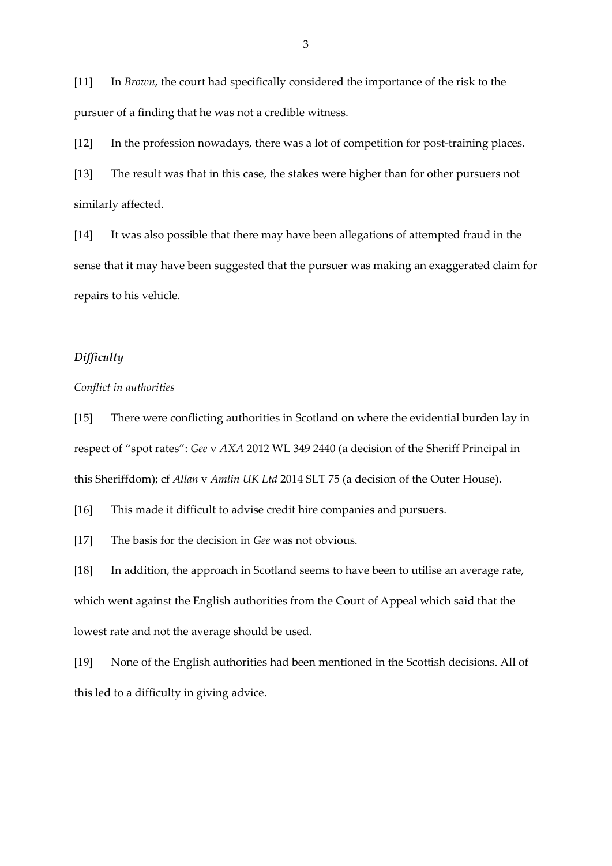[11] In *Brown*, the court had specifically considered the importance of the risk to the pursuer of a finding that he was not a credible witness.

[12] In the profession nowadays, there was a lot of competition for post-training places. [13] The result was that in this case, the stakes were higher than for other pursuers not similarly affected.

[14] It was also possible that there may have been allegations of attempted fraud in the sense that it may have been suggested that the pursuer was making an exaggerated claim for repairs to his vehicle.

# *Difficulty*

### *Conflict in authorities*

[15] There were conflicting authorities in Scotland on where the evidential burden lay in respect of "spot rates": *Gee* v *AXA* 2012 WL 349 2440 (a decision of the Sheriff Principal in this Sheriffdom); cf *Allan* v *Amlin UK Ltd* 2014 SLT 75 (a decision of the Outer House).

[16] This made it difficult to advise credit hire companies and pursuers.

[17] The basis for the decision in *Gee* was not obvious.

[18] In addition, the approach in Scotland seems to have been to utilise an average rate, which went against the English authorities from the Court of Appeal which said that the lowest rate and not the average should be used.

[19] None of the English authorities had been mentioned in the Scottish decisions. All of this led to a difficulty in giving advice.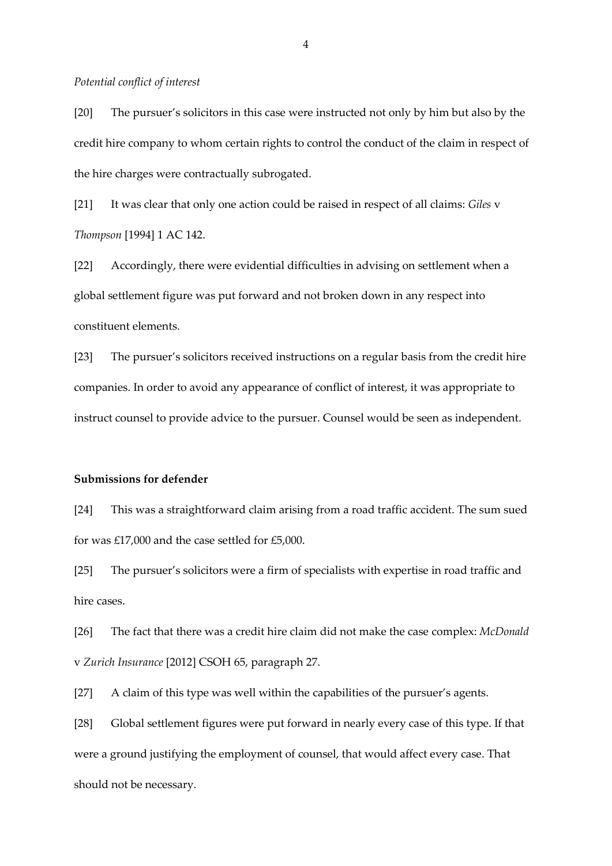#### *Potential conflict of interest*

[20] The pursuer's solicitors in this case were instructed not only by him but also by the credit hire company to whom certain rights to control the conduct of the claim in respect of the hire charges were contractually subrogated.

[21] It was clear that only one action could be raised in respect of all claims: *Giles* v *Thompson* [1994] 1 AC 142.

[22] Accordingly, there were evidential difficulties in advising on settlement when a global settlement figure was put forward and not broken down in any respect into constituent elements.

[23] The pursuer's solicitors received instructions on a regular basis from the credit hire companies. In order to avoid any appearance of conflict of interest, it was appropriate to instruct counsel to provide advice to the pursuer. Counsel would be seen as independent.

### **Submissions for defender**

[24] This was a straightforward claim arising from a road traffic accident. The sum sued for was £17,000 and the case settled for £5,000.

[25] The pursuer's solicitors were a firm of specialists with expertise in road traffic and hire cases.

[26] The fact that there was a credit hire claim did not make the case complex: *McDonald*  v *Zurich Insurance* [2012] CSOH 65, paragraph 27.

[27] A claim of this type was well within the capabilities of the pursuer's agents.

[28] Global settlement figures were put forward in nearly every case of this type. If that were a ground justifying the employment of counsel, that would affect every case. That should not be necessary.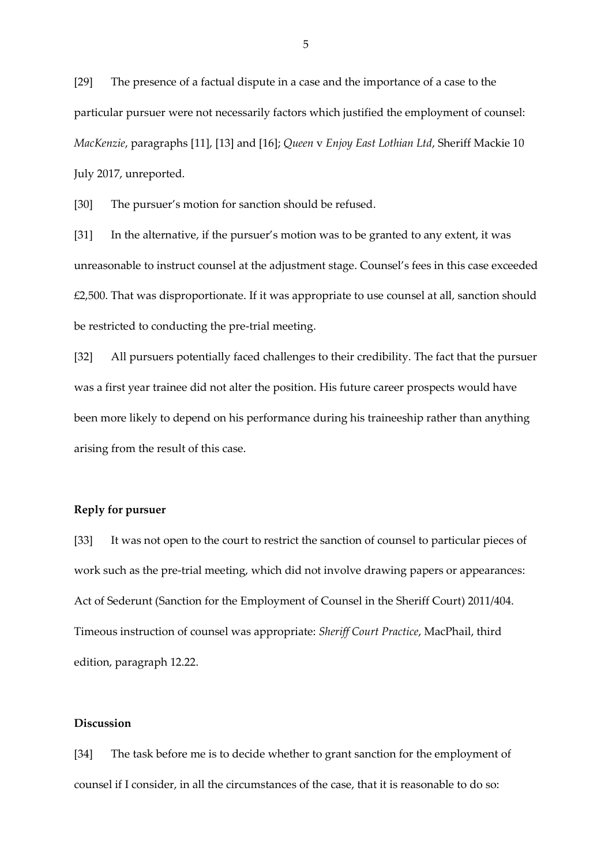[29] The presence of a factual dispute in a case and the importance of a case to the particular pursuer were not necessarily factors which justified the employment of counsel: *MacKenzie*, paragraphs [11], [13] and [16]; *Queen* v *Enjoy East Lothian Ltd*, Sheriff Mackie 10 July 2017, unreported.

[30] The pursuer's motion for sanction should be refused.

[31] In the alternative, if the pursuer's motion was to be granted to any extent, it was unreasonable to instruct counsel at the adjustment stage. Counsel's fees in this case exceeded  $£2,500$ . That was disproportionate. If it was appropriate to use counsel at all, sanction should be restricted to conducting the pre-trial meeting.

[32] All pursuers potentially faced challenges to their credibility. The fact that the pursuer was a first year trainee did not alter the position. His future career prospects would have been more likely to depend on his performance during his traineeship rather than anything arising from the result of this case.

#### **Reply for pursuer**

[33] It was not open to the court to restrict the sanction of counsel to particular pieces of work such as the pre-trial meeting, which did not involve drawing papers or appearances: Act of Sederunt (Sanction for the Employment of Counsel in the Sheriff Court) 2011/404. Timeous instruction of counsel was appropriate: *Sheriff Court Practice*, MacPhail, third edition, paragraph 12.22.

# **Discussion**

[34] The task before me is to decide whether to grant sanction for the employment of counsel if I consider, in all the circumstances of the case, that it is reasonable to do so:

5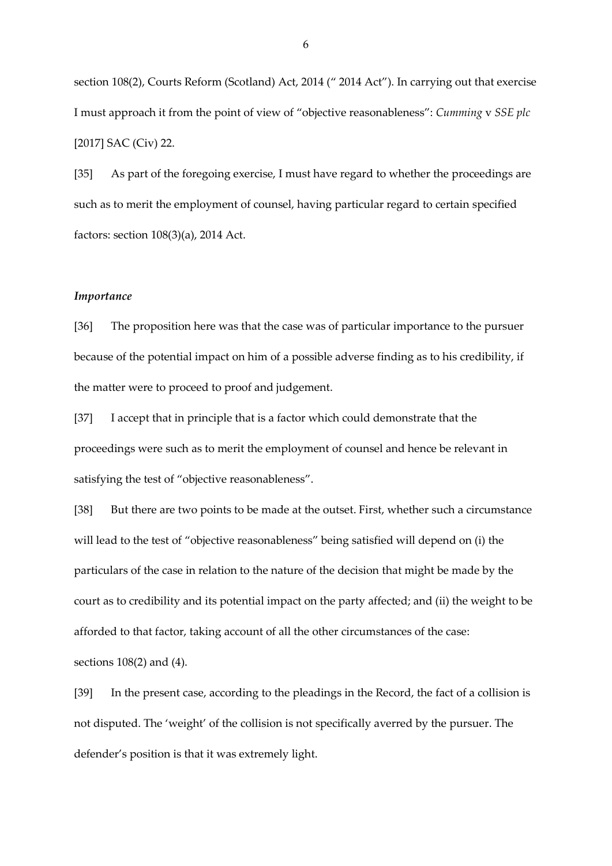section 108(2), Courts Reform (Scotland) Act, 2014 (" 2014 Act"). In carrying out that exercise I must approach it from the point of view of "objective reasonableness": *Cumming* v *SSE plc* [2017] SAC (Civ) 22.

[35] As part of the foregoing exercise, I must have regard to whether the proceedings are such as to merit the employment of counsel, having particular regard to certain specified factors: section 108(3)(a), 2014 Act.

#### *Importance*

[36] The proposition here was that the case was of particular importance to the pursuer because of the potential impact on him of a possible adverse finding as to his credibility, if the matter were to proceed to proof and judgement.

[37] I accept that in principle that is a factor which could demonstrate that the proceedings were such as to merit the employment of counsel and hence be relevant in satisfying the test of "objective reasonableness".

[38] But there are two points to be made at the outset. First, whether such a circumstance will lead to the test of "objective reasonableness" being satisfied will depend on (i) the particulars of the case in relation to the nature of the decision that might be made by the court as to credibility and its potential impact on the party affected; and (ii) the weight to be afforded to that factor, taking account of all the other circumstances of the case: sections 108(2) and (4).

[39] In the present case, according to the pleadings in the Record, the fact of a collision is not disputed. The 'weight' of the collision is not specifically averred by the pursuer. The defender's position is that it was extremely light.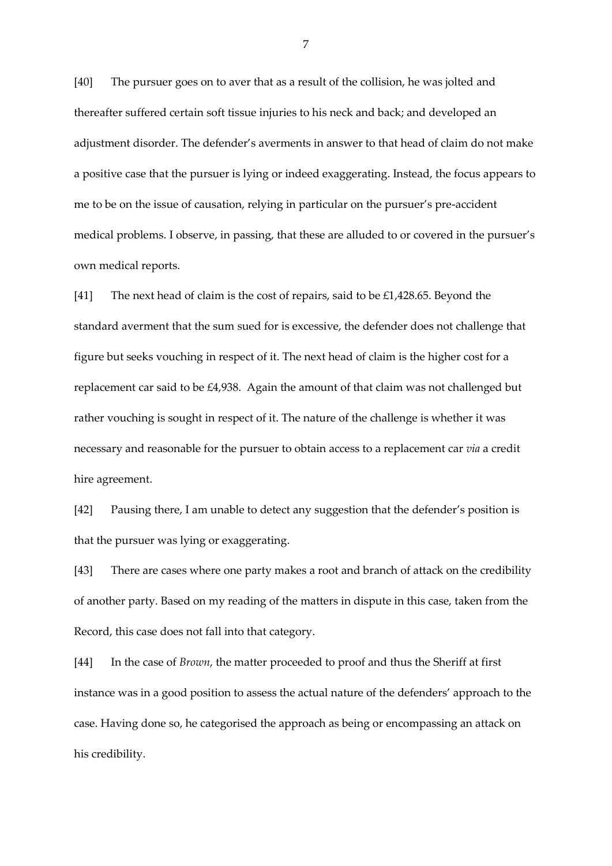[40] The pursuer goes on to aver that as a result of the collision, he was jolted and thereafter suffered certain soft tissue injuries to his neck and back; and developed an adjustment disorder. The defender's averments in answer to that head of claim do not make a positive case that the pursuer is lying or indeed exaggerating. Instead, the focus appears to me to be on the issue of causation, relying in particular on the pursuer's pre-accident medical problems. I observe, in passing, that these are alluded to or covered in the pursuer's own medical reports.

[41] The next head of claim is the cost of repairs, said to be £1,428.65. Beyond the standard averment that the sum sued for is excessive, the defender does not challenge that figure but seeks vouching in respect of it. The next head of claim is the higher cost for a replacement car said to be £4,938. Again the amount of that claim was not challenged but rather vouching is sought in respect of it. The nature of the challenge is whether it was necessary and reasonable for the pursuer to obtain access to a replacement car *via* a credit hire agreement.

[42] Pausing there, I am unable to detect any suggestion that the defender's position is that the pursuer was lying or exaggerating.

[43] There are cases where one party makes a root and branch of attack on the credibility of another party. Based on my reading of the matters in dispute in this case, taken from the Record, this case does not fall into that category.

[44] In the case of *Brown*, the matter proceeded to proof and thus the Sheriff at first instance was in a good position to assess the actual nature of the defenders' approach to the case. Having done so, he categorised the approach as being or encompassing an attack on his credibility.

7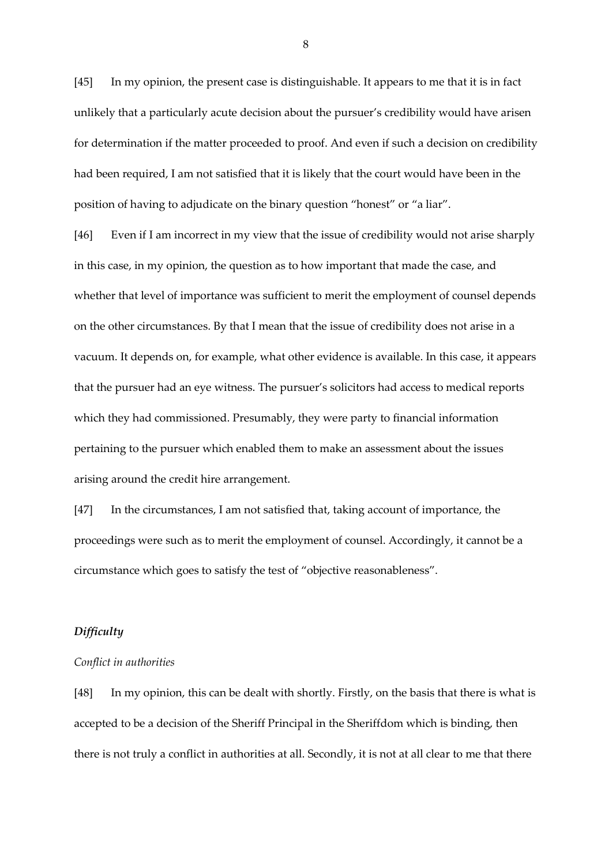[45] In my opinion, the present case is distinguishable. It appears to me that it is in fact unlikely that a particularly acute decision about the pursuer's credibility would have arisen for determination if the matter proceeded to proof. And even if such a decision on credibility had been required, I am not satisfied that it is likely that the court would have been in the position of having to adjudicate on the binary question "honest" or "a liar".

[46] Even if I am incorrect in my view that the issue of credibility would not arise sharply in this case, in my opinion, the question as to how important that made the case, and whether that level of importance was sufficient to merit the employment of counsel depends on the other circumstances. By that I mean that the issue of credibility does not arise in a vacuum. It depends on, for example, what other evidence is available. In this case, it appears that the pursuer had an eye witness. The pursuer's solicitors had access to medical reports which they had commissioned. Presumably, they were party to financial information pertaining to the pursuer which enabled them to make an assessment about the issues arising around the credit hire arrangement.

[47] In the circumstances, I am not satisfied that, taking account of importance, the proceedings were such as to merit the employment of counsel. Accordingly, it cannot be a circumstance which goes to satisfy the test of "objective reasonableness".

#### *Difficulty*

### *Conflict in authorities*

[48] In my opinion, this can be dealt with shortly. Firstly, on the basis that there is what is accepted to be a decision of the Sheriff Principal in the Sheriffdom which is binding, then there is not truly a conflict in authorities at all. Secondly, it is not at all clear to me that there

8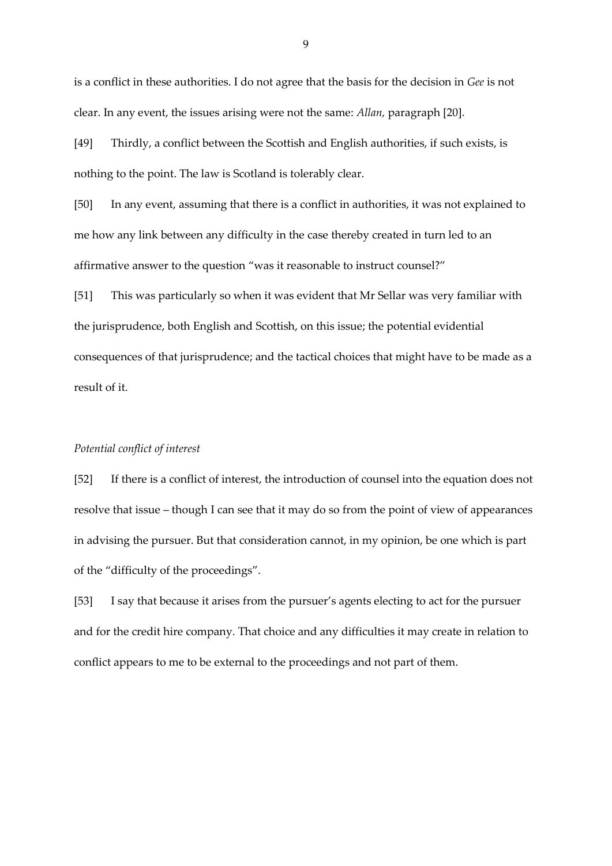is a conflict in these authorities. I do not agree that the basis for the decision in *Gee* is not clear. In any event, the issues arising were not the same: *Allan,* paragraph [20].

[49] Thirdly, a conflict between the Scottish and English authorities, if such exists, is nothing to the point. The law is Scotland is tolerably clear.

[50] In any event, assuming that there is a conflict in authorities, it was not explained to me how any link between any difficulty in the case thereby created in turn led to an affirmative answer to the question "was it reasonable to instruct counsel?"

[51] This was particularly so when it was evident that Mr Sellar was very familiar with the jurisprudence, both English and Scottish, on this issue; the potential evidential consequences of that jurisprudence; and the tactical choices that might have to be made as a result of it.

## *Potential conflict of interest*

[52] If there is a conflict of interest, the introduction of counsel into the equation does not resolve that issue – though I can see that it may do so from the point of view of appearances in advising the pursuer. But that consideration cannot, in my opinion, be one which is part of the "difficulty of the proceedings".

[53] I say that because it arises from the pursuer's agents electing to act for the pursuer and for the credit hire company. That choice and any difficulties it may create in relation to conflict appears to me to be external to the proceedings and not part of them.